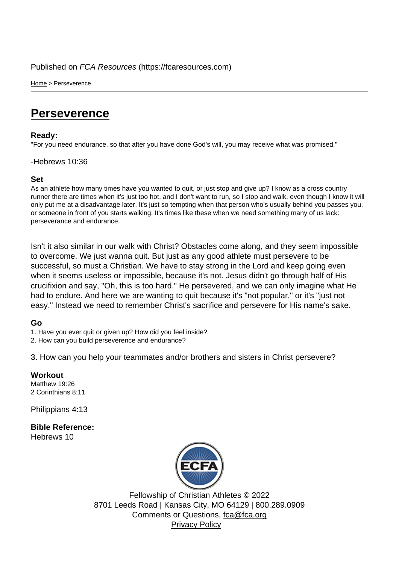Home > Perseverence

## **[Per](https://fcaresources.com/)severence**

Ready:

["For you need endurance,](https://fcaresources.com/devotional/perseverence) so that after you have done God's will, you may receive what was promised."

## -Hebrews 10:36

Set

As an athlete how many times have you wanted to quit, or just stop and give up? I know as a cross country runner there are times when it's just too hot, and I don't want to run, so I stop and walk, even though I know it will only put me at a disadvantage later. It's just so tempting when that person who's usually behind you passes you, or someone in front of you starts walking. It's times like these when we need something many of us lack: perseverance and endurance.

Isn't it also similar in our walk with Christ? Obstacles come along, and they seem impossible to overcome. We just wanna quit. But just as any good athlete must persevere to be successful, so must a Christian. We have to stay strong in the Lord and keep going even when it seems useless or impossible, because it's not. Jesus didn't go through half of His crucifixion and say, "Oh, this is too hard." He persevered, and we can only imagine what He had to endure. And here we are wanting to quit because it's "not popular," or it's "just not easy." Instead we need to remember Christ's sacrifice and persevere for His name's sake.

Go

1. Have you ever quit or given up? How did you feel inside?

2. How can you build perseverence and endurance?

3. How can you help your teammates and/or brothers and sisters in Christ persevere?

**Workout** Matthew 19:26 2 Corinthians 8:11

Philippians 4:13

Bible Reference: Hebrews 10

> Fellowship o[f Christian Ath](http://www.ecfa.org/)letes © 2022 8701 Leeds Road | Kansas City, MO 64129 | 800.289.0909 Comments or Questions, fca@fca.org Privacy Policy